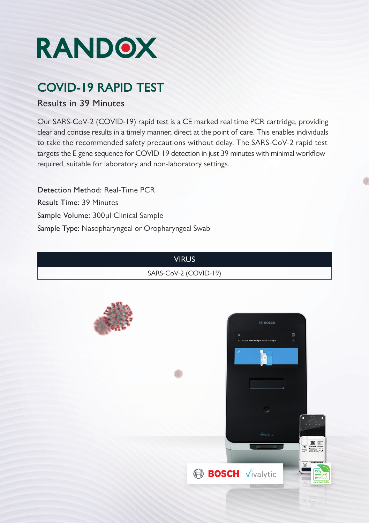

# COVID-19 RAPID TEST

#### Results in 39 Minutes

Our SARS-CoV-2 (COVID-19) rapid test is a CE marked real time PCR cartridge, providing clear and concise results in a timely manner, direct at the point of care. This enables individuals to take the recommended safety precautions without delay. The SARS-CoV-2 rapid test targets the E gene sequence for COVID-19 detection in just 39 minutes with minimal workflow required, suitable for laboratory and non-laboratory settings.

Sample Type: Nasopharyngeal or Oropharyngeal Swab Sample Volume: 300µl Clinical Sample Result Time: 39 Minutes Detection Method: Real-Time PCR

#### VIRUS

SARS-CoV-2 (COVID-19)